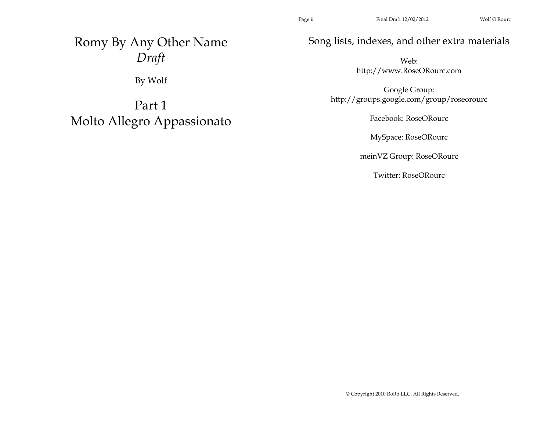Romy By Any Other Name *Draft* 

By Wolf

Part 1 Molto Allegro Appassionato Song lists, indexes, and other extra materials

Web: http://www.RoseORourc.com

Google Group: http://groups.google.com/group/roseorourc

Facebook: RoseORourc

MySpace: RoseORourc

meinVZ Group: RoseORourc

Twitter: RoseORourc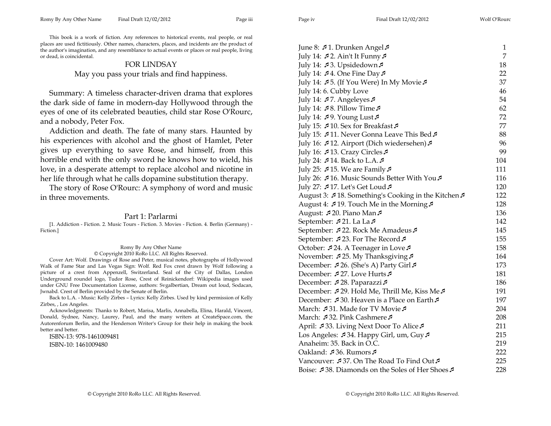This book is a work of fiction. Any references to historical events, real people, or real places are used fictitiously. Other names, characters, places, and incidents are the product of the author's imagination, and any resemblance to actual events or places or real people, living or dead, is coincidental.

## FOR LINDSAY

May you pass your trials and find happiness.

Summary: A timeless character-driven drama that explores the dark side of fame in modern-day Hollywood through the eyes of one of its celebrated beauties, child star Rose O'Rourc, and a nobody, Peter Fox.

Addiction and death. The fate of many stars. Haunted by his experiences with alcohol and the ghost of Hamlet, Peter gives up everything to save Rose, and himself, from this horrible end with the only sword he knows how to wield, his love, in a desperate attempt to replace alcohol and nicotine in her life through what he calls dopamine substitution therapy.

The story of Rose O'Rourc: A symphony of word and music in three movements.

## Part 1: Parlarmi

[1. Addiction - Fiction. 2. Music Tours - Fiction. 3. Movies - Fiction. 4. Berlin (Germany) - Fiction.]

## Romy By Any Other Name © Copyright 2010 RoRo LLC. All Rights Reserved.

Cover Art: Wolf. Drawings of Rose and Peter, musical notes, photographs of Hollywood Walk of Fame Star and Las Vegas Sign: Wolf. Red Fox crest drawn by Wolf following a picture of a crest from Appenzell, Switzerland. Seal of the City of Dallas, London Underground roundel logo, Tudor Rose, Crest of Reinickendorf: Wikipedia images used under GNU Free Documentation License, authors: Svgalbertian, Dream out loud, Sodacan, Jwnabd. Crest of Berlin provided by the Senate of Berlin.

Back to L.A. - Music: Kelly Zirbes – Lyrics: Kelly Zirbes. Used by kind permission of Kelly Zirbes, , Los Angeles.

Acknowledgments: Thanks to Robert, Marisa, Marlis, Annabella, Elina, Harald, Vincent, Donald, Sydnee, Nancy, Laurey, Paul, and the many writers at CreateSpace.com, the Autorenforum Berlin, and the Henderson Writer's Group for their help in making the book better and better.

ISBN-13: 978-1461009481 ISBN-10: 1461009480

| June 8: 51. Drunken Angel 5                           | $\mathbf{1}$ |
|-------------------------------------------------------|--------------|
| July 14: $\sqrt{2}$ . Ain't It Funny $\sqrt{2}$       | 7            |
| July 14: 53. Upsidedown 5                             | 18           |
| July 14: $\sqrt{4}$ . One Fine Day $\sqrt{4}$         | 22           |
| July 14: ♪5. (If You Were) In My Movie♪               | 37           |
| July 14: 6. Cubby Love                                | 46           |
| July 14: $\sqrt{3}$ 7. Angeleyes $\sqrt{3}$           | 54           |
| July 14: $\sqrt{3}$ 8. Pillow Time $\sqrt{3}$         | 62           |
| July 14: 59. Young Lust 5                             | 72           |
| July 15: 510. Sex for Breakfast 5                     | 77           |
| July 15: 511. Never Gonna Leave This Bed 5            | 88           |
| July 16: ♪12. Airport (Dich wiedersehen)♪             | 96           |
| July 16: Ĵ 13. Crazy Circles Ĵ                        | 99           |
| July 24: 5 14. Back to L.A. 5                         | 104          |
| July 25: $\sqrt{15}$ . We are Family $\sqrt{15}$      | 111          |
| July 26: 516. Music Sounds Better With You            | 116          |
| July 27: ♪17. Let's Get Loud ♪                        | 120          |
| August 3: 54 18. Something's Cooking in the Kitchen 5 | 122          |
| August 4: 519. Touch Me in the Morning                | 128          |
| August: ق120. Piano Man                               | 136          |
| September: $\sqrt{21}$ . La La $\sqrt{2}$             | 142          |
| September: 5 22. Rock Me Amadeus 5                    | 145          |
| September: ₹23. For The Record ₹                      | 155          |
| October: ♪24. A Teenager in Love♪                     | 158          |
| November: 525. My Thanksgiving                        | 164          |
| December: Ĵ 26. (She's A) Party Girl ∂                | 173          |
| December: ₹27. Love Hurts                             | 181          |
| December: 528. Paparazzi5                             | 186          |
| December: 5 29. Hold Me, Thrill Me, Kiss Me 5         | 191          |
| December: €30. Heaven is a Place on Earth €           | 197          |
| March: £31. Made for TV Movie £                       | 204          |
| March: 532. Pink Cashmere 5                           | 208          |
| April: 533. Living Next Door To Alice 5               | 211          |
| Los Angeles: 534. Happy Girl, um, Guy 5               | 215          |
| Anaheim: 35. Back in O.C.                             | 219          |
| Oakland: £36. Rumors £                                | 222          |
| Vancouver: 537. On The Road To Find Out 5             | 225          |
| Boise: 538. Diamonds on the Soles of Her Shoes        | 228          |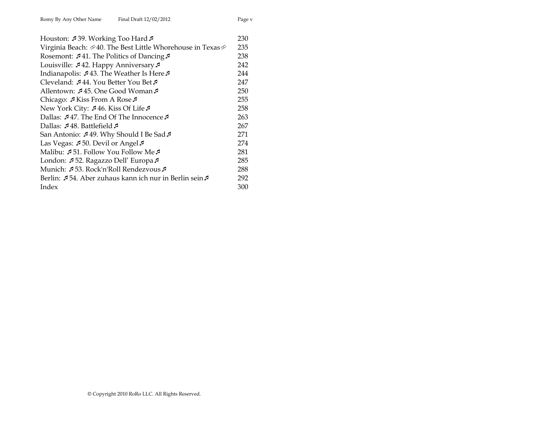| Houston: 139. Working Too Hard 5                           | 230 |
|------------------------------------------------------------|-----|
| Virginia Beach: ∅40. The Best Little Whorehouse in Texas ∅ | 235 |
| Rosemont: $\sqrt{41}$ . The Politics of Dancing $\sqrt{2}$ | 238 |
| Louisville: 542. Happy Anniversary 5                       | 242 |
| Indianapolis: 543. The Weather Is Here 5                   | 244 |
| Cleveland: £44. You Better You Bet £                       | 247 |
| Allentown: ♪45. One Good Woman♪                            | 250 |
| Chicago: $\sqrt{ }$ Kiss From A Rose $\sqrt{ }$            | 255 |
| New York City: ♪46. Kiss Of Life♪                          | 258 |
| Dallas: ₹47. The End Of The Innocence                      | 263 |
| Dallas: 148. Battlefield                                   | 267 |
| San Antonio: ♪49. Why Should I Be Sad♪                     | 271 |
| Las Vegas: 50. Devil or Angel                              | 274 |
| Malibu: £51. Follow You Follow Me                          | 281 |
| London: 52. Ragazzo Dell' Europa 5                         | 285 |
| Munich: ♪53. Rock'n'Roll Rendezvous♪                       | 288 |
| Berlin: ♪54. Aber zuhaus kann ich nur in Berlin sein♪      | 292 |
| Index                                                      | 300 |
|                                                            |     |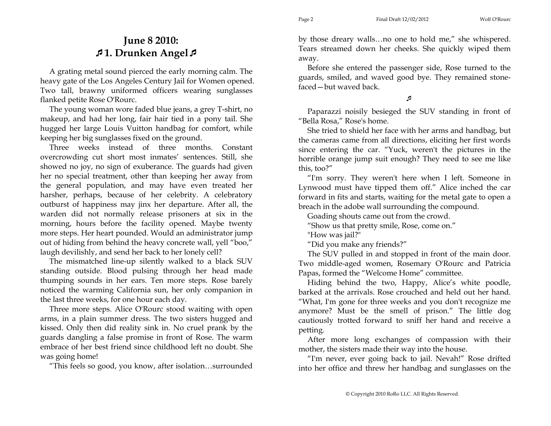## **June 8 2010: 1. Drunken Angel**

A grating metal sound pierced the early morning calm. The heavy gate of the Los Angeles Century Jail for Women opened. Two tall, brawny uniformed officers wearing sunglasses flanked petite Rose O'Rourc.

The young woman wore faded blue jeans, a grey T-shirt, no makeup, and had her long, fair hair tied in a pony tail. She hugged her large Louis Vuitton handbag for comfort, while keeping her big sunglasses fixed on the ground.

Three weeks instead of three months. Constant overcrowding cut short most inmates' sentences. Still, she showed no joy, no sign of exuberance. The guards had given her no special treatment, other than keeping her away from the general population, and may have even treated her harsher, perhaps, because of her celebrity. A celebratory outburst of happiness may jinx her departure. After all, the warden did not normally release prisoners at six in the morning, hours before the facility opened. Maybe twenty more steps. Her heart pounded. Would an administrator jump out of hiding from behind the heavy concrete wall, yell "boo," laugh devilishly, and send her back to her lonely cell?

The mismatched line-up silently walked to a black SUV standing outside. Blood pulsing through her head made thumping sounds in her ears. Ten more steps. Rose barely noticed the warming California sun, her only companion in the last three weeks, for one hour each day.

Three more steps. Alice O'Rourc stood waiting with open arms, in a plain summer dress. The two sisters hugged and kissed. Only then did reality sink in. No cruel prank by the guards dangling a false promise in front of Rose. The warm embrace of her best friend since childhood left no doubt. She was going home!

"This feels so good, you know, after isolation…surrounded

by those dreary walls…no one to hold me," she whispered. Tears streamed down her cheeks. She quickly wiped them away.

Before she entered the passenger side, Rose turned to the guards, smiled, and waved good bye. They remained stonefaced—but waved back.

A

Paparazzi noisily besieged the SUV standing in front of "Bella Rosa," Rose's home.

She tried to shield her face with her arms and handbag, but the cameras came from all directions, eliciting her first words since entering the car. "Yuck, weren't the pictures in the horrible orange jump suit enough? They need to see me like this, too?"

"I'm sorry. They weren't here when I left. Someone in Lynwood must have tipped them off." Alice inched the car forward in fits and starts, waiting for the metal gate to open a breach in the adobe wall surrounding the compound.

Goading shouts came out from the crowd.

"Show us that pretty smile, Rose, come on."

"How was jail?"

"Did you make any friends?"

The SUV pulled in and stopped in front of the main door. Two middle-aged women, Rosemary O'Rourc and Patricia Papas, formed the "Welcome Home" committee.

Hiding behind the two, Happy, Alice's white poodle, barked at the arrivals. Rose crouched and held out her hand. "What, I'm gone for three weeks and you don't recognize me anymore? Must be the smell of prison." The little dog cautiously trotted forward to sniff her hand and receive a petting.

After more long exchanges of compassion with their mother, the sisters made their way into the house.

"I'm never, ever going back to jail. Nevah!" Rose drifted into her office and threw her handbag and sunglasses on the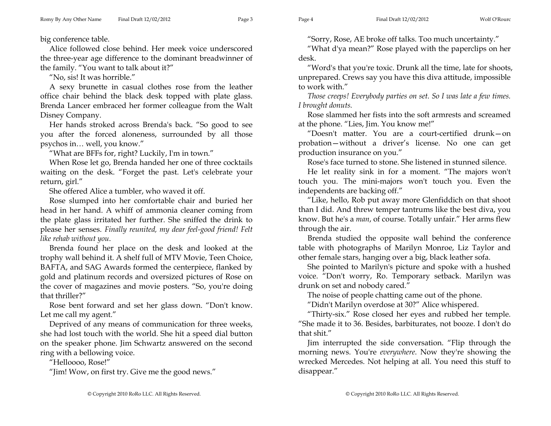big conference table.

Alice followed close behind. Her meek voice underscored the three-year age difference to the dominant breadwinner of the family. "You want to talk about it?"

"No, sis! It was horrible."

A sexy brunette in casual clothes rose from the leather office chair behind the black desk topped with plate glass. Brenda Lancer embraced her former colleague from the Walt Disney Company.

Her hands stroked across Brenda's back. "So good to see you after the forced aloneness, surrounded by all those psychos in… well, you know."

"What are BFFs for, right? Luckily, I'm in town."

When Rose let go, Brenda handed her one of three cocktails waiting on the desk. "Forget the past. Let's celebrate your return, girl."

She offered Alice a tumbler, who waved it off.

Rose slumped into her comfortable chair and buried her head in her hand. A whiff of ammonia cleaner coming from the plate glass irritated her further. She sniffed the drink to please her senses. *Finally reunited, my dear feel-good friend! Felt like rehab without you*.

Brenda found her place on the desk and looked at the trophy wall behind it. A shelf full of MTV Movie, Teen Choice, BAFTA, and SAG Awards formed the centerpiece, flanked by gold and platinum records and oversized pictures of Rose on the cover of magazines and movie posters. "So, you're doing that thriller?"

Rose bent forward and set her glass down. "Don't know. Let me call my agent."

Deprived of any means of communication for three weeks, she had lost touch with the world. She hit a speed dial button on the speaker phone. Jim Schwartz answered on the second ring with a bellowing voice.

"Helloooo, Rose!"

"Jim! Wow, on first try. Give me the good news."

"Sorry, Rose, AE broke off talks. Too much uncertainty."

"What d'ya mean?" Rose played with the paperclips on her desk.

"Word's that you're toxic. Drunk all the time, late for shoots, unprepared. Crews say you have this diva attitude, impossible to work with."

*Those creeps! Everybody parties on set. So I was late a few times. I brought donuts.* 

Rose slammed her fists into the soft armrests and screamed at the phone. "Lies, Jim. You know me!"

"Doesn't matter. You are a court-certified drunk—on probation—without a driver's license. No one can get production insurance on you."

Rose's face turned to stone. She listened in stunned silence.

He let reality sink in for a moment. "The majors won't touch you. The mini-majors won't touch you. Even the independents are backing off."

"Like, hello, Rob put away more Glenfiddich on that shoot than I did. And threw temper tantrums like the best diva, you know. But he's a *man*, of course. Totally unfair." Her arms flew through the air.

Brenda studied the opposite wall behind the conference table with photographs of Marilyn Monroe, Liz Taylor and other female stars, hanging over a big, black leather sofa.

She pointed to Marilyn's picture and spoke with a hushed voice. "Don't worry, Ro. Temporary setback. Marilyn was drunk on set and nobody cared."

The noise of people chatting came out of the phone.

"Didn't Marilyn overdose at 30?" Alice whispered.

"Thirty-six." Rose closed her eyes and rubbed her temple. "She made it to 36. Besides, barbiturates, not booze. I don't do that shit."

Jim interrupted the side conversation. "Flip through the morning news. You're *everywhere*. Now they're showing the wrecked Mercedes. Not helping at all. You need this stuff to disappear."